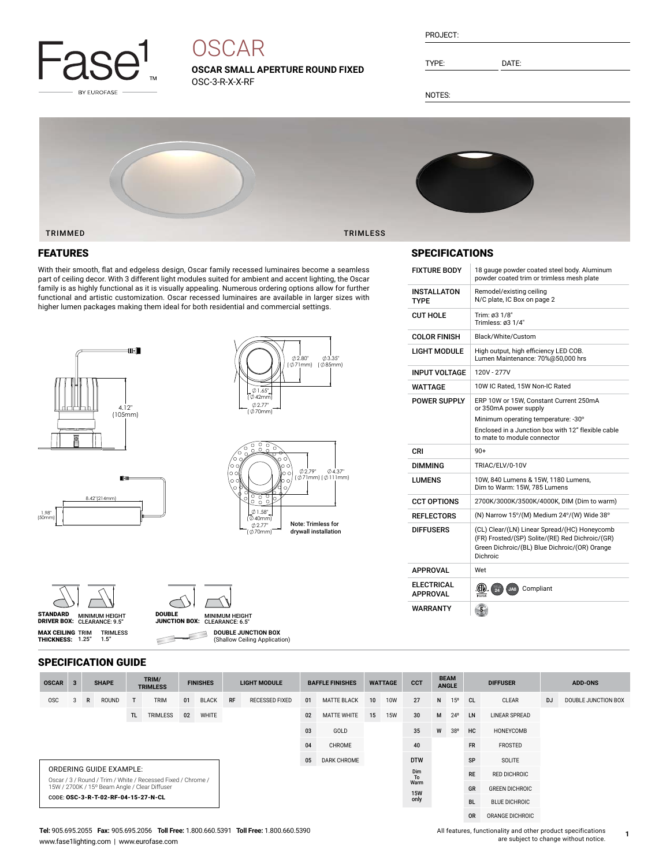

# **OSCAR**

**OSCAR SMALL APERTURE ROUND FIXED** OSC-3-R-X-X-RF

| PROJEC |  |
|--------|--|
|        |  |
|        |  |

TYPE: DATE:

NOTES:



#### FEATURES

With their smooth, flat and edgeless design, Oscar family recessed luminaires become a seamless part of ceiling decor. With 3 different light modules suited for ambient and accent lighting, the Oscar family is as highly functional as it is visually appealing. Numerous ordering options allow for further functional and artistic customization. Oscar recessed luminaires are available in larger sizes with higher lumen packages making them ideal for both residential and commercial settings.













| <b>MAX CEILING TRIM</b><br>THICKNESS: 1.25" |                            |              | <b>TRIMLESS</b><br>1.5" |                          |             |                 |              |                     | <b>DOUBLE JUNCTION BOX</b><br>(Shallow Ceiling Application) |    |                        |                 |                |    |                             |                 |                 |                      |                |                     |
|---------------------------------------------|----------------------------|--------------|-------------------------|--------------------------|-------------|-----------------|--------------|---------------------|-------------------------------------------------------------|----|------------------------|-----------------|----------------|----|-----------------------------|-----------------|-----------------|----------------------|----------------|---------------------|
|                                             | <b>SPECIFICATION GUIDE</b> |              |                         |                          |             |                 |              |                     |                                                             |    |                        |                 |                |    |                             |                 |                 |                      |                |                     |
| <b>OSCAR</b>                                | $\mathbf{3}$               | <b>SHAPE</b> |                         | TRIM/<br><b>TRIMLESS</b> |             | <b>FINISHES</b> |              | <b>LIGHT MODULE</b> |                                                             |    | <b>BAFFLE FINISHES</b> |                 | <b>WATTAGE</b> |    | <b>BEAM</b><br><b>ANGLE</b> |                 | <b>DIFFUSER</b> |                      | <b>ADD-ONS</b> |                     |
| <b>OSC</b>                                  |                            | R            | <b>ROUND</b>            | T                        | <b>TRIM</b> | 01              | <b>BLACK</b> | <b>RF</b>           | <b>RECESSED FIXED</b>                                       | 01 | <b>MATTE BLACK</b>     | 10 <sup>1</sup> | <b>10W</b>     | 27 | N                           | 15 <sup>o</sup> | <sub>CL</sub>   | <b>CLEAR</b>         | <b>DJ</b>      | DOUBLE JUNCTION BOX |
|                                             |                            |              |                         | TL.                      | TRIMLESS    | 02              | <b>WHITE</b> |                     |                                                             | 02 | <b>MATTE WHITE</b>     | 15              | <b>15W</b>     | 30 | M                           | $24^{\circ}$    | LN              | <b>LINEAR SPREAD</b> |                |                     |
|                                             |                            |              |                         |                          |             |                 |              |                     |                                                             | 03 | GOLD                   |                 |                | 35 | W                           | 38°             | <b>HC</b>       | HONEYCOMB            |                |                     |
|                                             |                            |              |                         |                          |             |                 |              |                     |                                                             | 04 | CHROME                 |                 |                | 40 |                             |                 | <b>FR</b>       | <b>FROSTED</b>       |                |                     |

05 DARK CHROME **DTW** 

Dim To Warm 15W only

WARRANTY

#### ORDERING GUIDE EXAMPLE:

Oscar / 3 / Round / Trim / White / Recessed Fixed / Chrome / 15W / 2700K / 15º Beam Angle / Clear Diffuser

CODE: OSC-3-R-T-02-RF-04-15-27-N-CL

### **Tel:** 905.695.2055 **Fax:** 905.695.2056 **Toll Free:** 1.800.660.5391 **Toll Free:** 1.800.660.5390 www.fase1lighting.com | www.eurofase.com

## All features, functionality and other product specifications are subject to change without notice.

| <b>COLOR FINISH</b>  | Black/White/Custom                                                                                                                                                                          |
|----------------------|---------------------------------------------------------------------------------------------------------------------------------------------------------------------------------------------|
| LIGHT MODULE         | High output, high efficiency LED COB.<br>Lumen Maintenance: 70%@50,000 hrs                                                                                                                  |
| <b>INPUT VOLTAGE</b> | 120V - 277V                                                                                                                                                                                 |
| <b>WATTAGE</b>       | 10W IC Rated, 15W Non-IC Rated                                                                                                                                                              |
| <b>POWER SUPPLY</b>  | ERP 10W or 15W, Constant Current 250mA<br>or 350mA power supply<br>Minimum operating temperature: -30°<br>Enclosed in a Junction box with 12" flexible cable<br>to mate to module connector |
| CRI                  | $90+$                                                                                                                                                                                       |
| <b>DIMMING</b>       | TRIAC/ELV/0-10V                                                                                                                                                                             |
| <b>LUMENS</b>        | 10W, 840 Lumens & 15W, 1180 Lumens.<br>Dim to Warm: 15W, 785 Lumens                                                                                                                         |
|                      |                                                                                                                                                                                             |

FIXTURE BODY 18 gauge powder coated steel body. Aluminum

Remodel/existing ceiling N/C plate, IC Box on page 2

Trimless: Ø3 1/4"

powder coated trim or trimless mesh plate

| LUMENJ                               | TUW. 040 LUITICITS QUI JW. TTOU LUITICITS.<br>Dim to Warm: 15W, 785 Lumens                                                                                   |  |  |  |  |  |
|--------------------------------------|--------------------------------------------------------------------------------------------------------------------------------------------------------------|--|--|--|--|--|
| <b>CCT OPTIONS</b>                   | 2700K/3000K/3500K/4000K, DIM (Dim to warm)                                                                                                                   |  |  |  |  |  |
| <b>REFLECTORS</b>                    | (N) Narrow 15°/(M) Medium 24°/(W) Wide 38°                                                                                                                   |  |  |  |  |  |
| <b>DIFFUSERS</b>                     | (CL) Clear/(LN) Linear Spread/(HC) Honeycomb<br>(FR) Frosted/(SP) Solite/(RE) Red Dichroic/(GR)<br>Green Dichroic/(BL) Blue Dichroic/(OR) Orange<br>Dichroic |  |  |  |  |  |
| <b>APPROVAL</b>                      | Wet                                                                                                                                                          |  |  |  |  |  |
| <b>ELECTRICAL</b><br><b>APPROVAL</b> | $\frac{1}{24}$<br>Compliant<br>JA8<br>Intertek                                                                                                               |  |  |  |  |  |

### SPECIFICATIONS

 $CUT HOLE$  Trim:  $\emptyset$ 3 1/8"

INSTALLATON TYPE

| 0R | ORANGE DICHROIC                                      |  |
|----|------------------------------------------------------|--|
|    | I features, functionality and other product specific |  |

SP SOLITE RE RED DICHROIC GR GREEN DICHROIC BL BLUE DICHROIC

 $\sqrt{5}$ 

**1**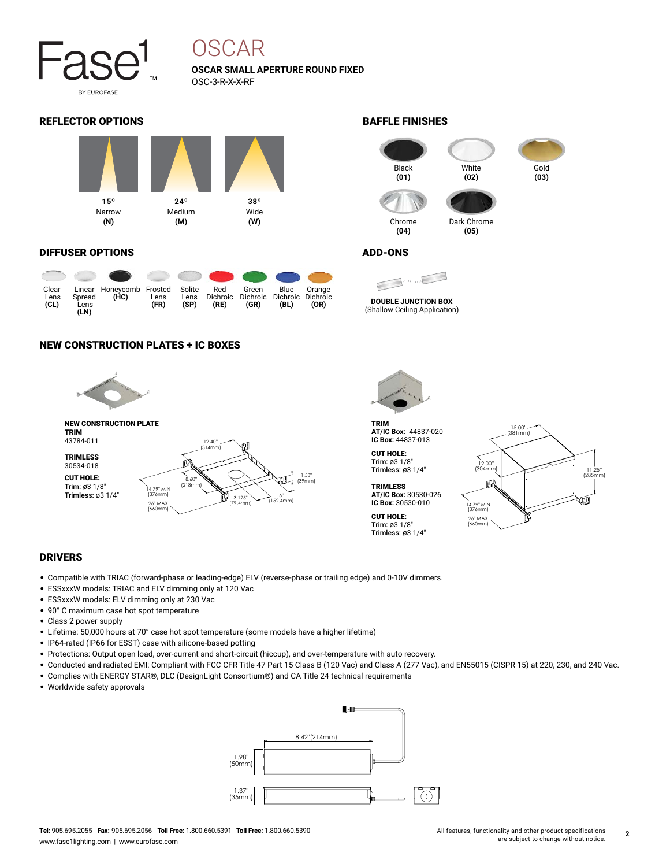

# OSCAR

**OSCAR SMALL APERTURE ROUND FIXED** OSC-3-R-X-X-RF

#### REFLECTOR OPTIONS **BAFFLE FINISHES**



#### DIFFUSER OPTIONS ADD-ONS

| Clear<br>Lens<br>CL) | Spread<br>Lens<br>(LN) | Linear Honeycomb Frosted<br>(HC) | Lens<br>(FR) | Solite<br>Lens<br>(SP) | Red<br>Dichroic<br>(RE) | Green<br>Dichroic<br>(GR) | Blue<br>Dichroic Dichroic<br>(BL) | Orange<br>(OR) |
|----------------------|------------------------|----------------------------------|--------------|------------------------|-------------------------|---------------------------|-----------------------------------|----------------|

#### NEW CONSTRUCTION PLATES + IC BOXES



#### DRIVERS

- Compatible with TRIAC (forward-phase or leading-edge) ELV (reverse-phase or trailing edge) and 0-10V dimmers.
- ESSxxxW models: TRIAC and ELV dimming only at 120 Vac
- ESSxxxW models: ELV dimming only at 230 Vac
- 90° C maximum case hot spot temperature
- Class 2 power supply
- Lifetime: 50,000 hours at 70° case hot spot temperature (some models have a higher lifetime)
- IP64-rated (IP66 for ESST) case with silicone-based potting
- Protections: Output open load, over-current and short-circuit (hiccup), and over-temperature with auto recovery.
- Conducted and radiated EMI: Compliant with FCC CFR Title 47 Part 15 Class B (120 Vac) and Class A (277 Vac), and EN55015 (CISPR 15) at 220, 230, and 240 Vac.
- Complies with ENERGY STAR®, DLC (DesignLight Consortium®) and CA Title 24 technical requirements
- Worldwide safety approvals





**(FR) DOUBLE JUNCTION BOX**

(Shallow Ceiling Application)